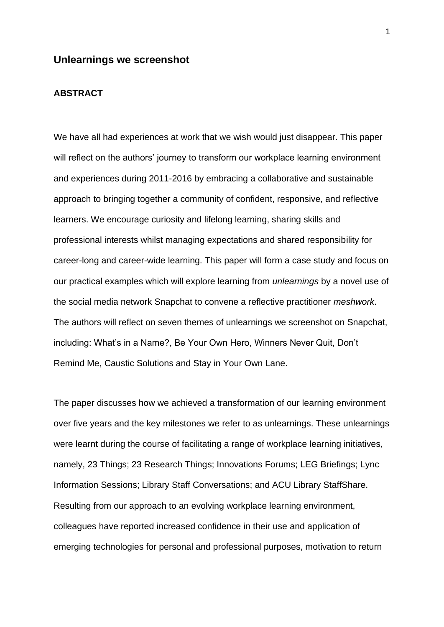## **Unlearnings we screenshot**

## **ABSTRACT**

We have all had experiences at work that we wish would just disappear. This paper will reflect on the authors' journey to transform our workplace learning environment and experiences during 2011-2016 by embracing a collaborative and sustainable approach to bringing together a community of confident, responsive, and reflective learners. We encourage curiosity and lifelong learning, sharing skills and professional interests whilst managing expectations and shared responsibility for career-long and career-wide learning. This paper will form a case study and focus on our practical examples which will explore learning from *unlearnings* by a novel use of the social media network Snapchat to convene a reflective practitioner *meshwork*. The authors will reflect on seven themes of unlearnings we screenshot on Snapchat, including: What's in a Name?, Be Your Own Hero, Winners Never Quit, Don't Remind Me, Caustic Solutions and Stay in Your Own Lane.

The paper discusses how we achieved a transformation of our learning environment over five years and the key milestones we refer to as unlearnings. These unlearnings were learnt during the course of facilitating a range of workplace learning initiatives, namely, 23 Things; 23 Research Things; Innovations Forums; LEG Briefings; Lync Information Sessions; Library Staff Conversations; and ACU Library StaffShare. Resulting from our approach to an evolving workplace learning environment, colleagues have reported increased confidence in their use and application of emerging technologies for personal and professional purposes, motivation to return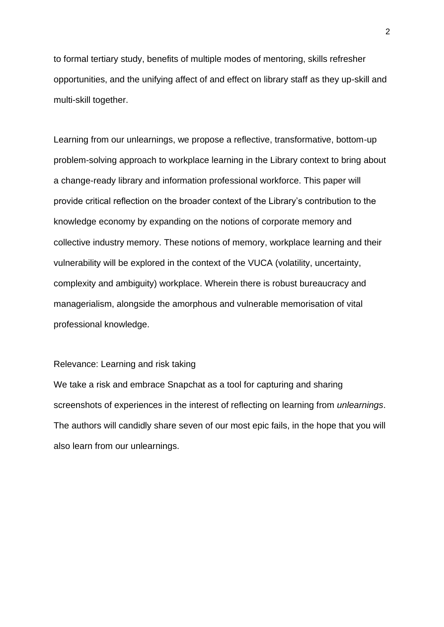to formal tertiary study, benefits of multiple modes of mentoring, skills refresher opportunities, and the unifying affect of and effect on library staff as they up-skill and multi-skill together.

Learning from our unlearnings, we propose a reflective, transformative, bottom-up problem-solving approach to workplace learning in the Library context to bring about a change-ready library and information professional workforce. This paper will provide critical reflection on the broader context of the Library's contribution to the knowledge economy by expanding on the notions of corporate memory and collective industry memory. These notions of memory, workplace learning and their vulnerability will be explored in the context of the VUCA (volatility, uncertainty, complexity and ambiguity) workplace. Wherein there is robust bureaucracy and managerialism, alongside the amorphous and vulnerable memorisation of vital professional knowledge.

#### Relevance: Learning and risk taking

We take a risk and embrace Snapchat as a tool for capturing and sharing screenshots of experiences in the interest of reflecting on learning from *unlearnings*. The authors will candidly share seven of our most epic fails, in the hope that you will also learn from our unlearnings.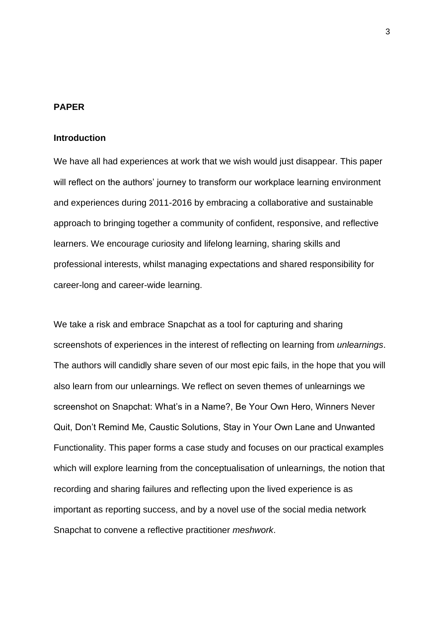## **PAPER**

## **Introduction**

We have all had experiences at work that we wish would just disappear. This paper will reflect on the authors' journey to transform our workplace learning environment and experiences during 2011-2016 by embracing a collaborative and sustainable approach to bringing together a community of confident, responsive, and reflective learners. We encourage curiosity and lifelong learning, sharing skills and professional interests, whilst managing expectations and shared responsibility for career-long and career-wide learning.

We take a risk and embrace Snapchat as a tool for capturing and sharing screenshots of experiences in the interest of reflecting on learning from *unlearnings*. The authors will candidly share seven of our most epic fails, in the hope that you will also learn from our unlearnings. We reflect on seven themes of unlearnings we screenshot on Snapchat: What's in a Name?, Be Your Own Hero, Winners Never Quit, Don't Remind Me, Caustic Solutions, Stay in Your Own Lane and Unwanted Functionality. This paper forms a case study and focuses on our practical examples which will explore learning from the conceptualisation of unlearnings*,* the notion that recording and sharing failures and reflecting upon the lived experience is as important as reporting success, and by a novel use of the social media network Snapchat to convene a reflective practitioner *meshwork*.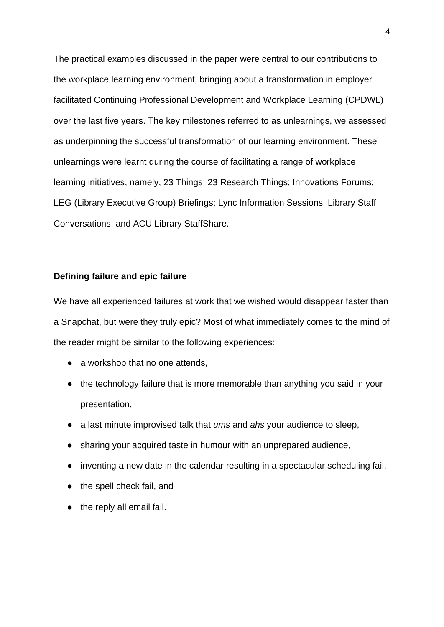The practical examples discussed in the paper were central to our contributions to the workplace learning environment, bringing about a transformation in employer facilitated Continuing Professional Development and Workplace Learning (CPDWL) over the last five years. The key milestones referred to as unlearnings, we assessed as underpinning the successful transformation of our learning environment. These unlearnings were learnt during the course of facilitating a range of workplace learning initiatives, namely, 23 Things; 23 Research Things; Innovations Forums; LEG (Library Executive Group) Briefings; Lync Information Sessions; Library Staff Conversations; and ACU Library StaffShare.

## **Defining failure and epic failure**

We have all experienced failures at work that we wished would disappear faster than a Snapchat, but were they truly epic? Most of what immediately comes to the mind of the reader might be similar to the following experiences:

- a workshop that no one attends,
- the technology failure that is more memorable than anything you said in your presentation,
- a last minute improvised talk that *ums* and *ahs* your audience to sleep,
- sharing your acquired taste in humour with an unprepared audience,
- inventing a new date in the calendar resulting in a spectacular scheduling fail,
- the spell check fail, and
- the reply all email fail.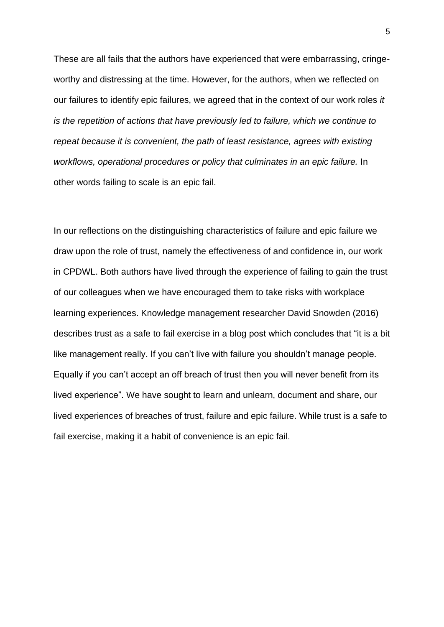These are all fails that the authors have experienced that were embarrassing, cringeworthy and distressing at the time. However, for the authors, when we reflected on our failures to identify epic failures, we agreed that in the context of our work roles *it is the repetition of actions that have previously led to failure, which we continue to repeat because it is convenient, the path of least resistance, agrees with existing workflows, operational procedures or policy that culminates in an epic failure.* In other words failing to scale is an epic fail.

In our reflections on the distinguishing characteristics of failure and epic failure we draw upon the role of trust, namely the effectiveness of and confidence in, our work in CPDWL. Both authors have lived through the experience of failing to gain the trust of our colleagues when we have encouraged them to take risks with workplace learning experiences. Knowledge management researcher David Snowden (2016) describes trust as a safe to fail exercise in a blog post which concludes that "it is a bit like management really. If you can't live with failure you shouldn't manage people. Equally if you can't accept an off breach of trust then you will never benefit from its lived experience". We have sought to learn and unlearn, document and share, our lived experiences of breaches of trust, failure and epic failure. While trust is a safe to fail exercise, making it a habit of convenience is an epic fail.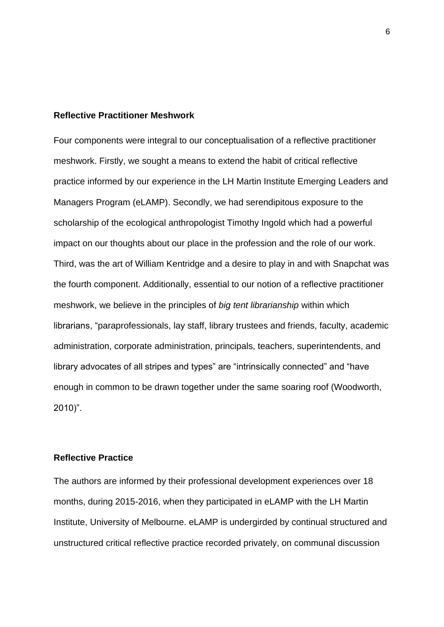#### **Reflective Practitioner Meshwork**

Four components were integral to our conceptualisation of a reflective practitioner meshwork. Firstly, we sought a means to extend the habit of critical reflective practice informed by our experience in the LH Martin Institute Emerging Leaders and Managers Program (eLAMP). Secondly, we had serendipitous exposure to the scholarship of the ecological anthropologist Timothy Ingold which had a powerful impact on our thoughts about our place in the profession and the role of our work. Third, was the art of William Kentridge and a desire to play in and with Snapchat was the fourth component. Additionally, essential to our notion of a reflective practitioner meshwork, we believe in the principles of *big tent librarianship* within which librarians, "paraprofessionals, lay staff, library trustees and friends, faculty, academic administration, corporate administration, principals, teachers, superintendents, and library advocates of all stripes and types" are "intrinsically connected" and "have enough in common to be drawn together under the same soaring roof (Woodworth, 2010)".

## **Reflective Practice**

The authors are informed by their professional development experiences over 18 months, during 2015-2016, when they participated in eLAMP with the LH Martin Institute, University of Melbourne. eLAMP is undergirded by continual structured and unstructured critical reflective practice recorded privately, on communal discussion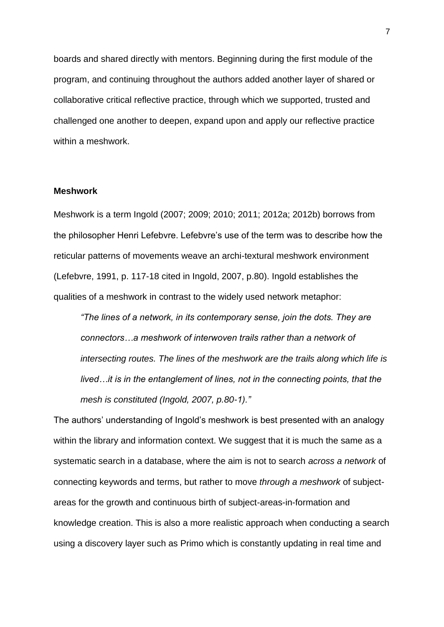boards and shared directly with mentors. Beginning during the first module of the program, and continuing throughout the authors added another layer of shared or collaborative critical reflective practice, through which we supported, trusted and challenged one another to deepen, expand upon and apply our reflective practice within a meshwork.

#### **Meshwork**

Meshwork is a term Ingold (2007; 2009; 2010; 2011; 2012a; 2012b) borrows from the philosopher Henri Lefebvre. Lefebvre's use of the term was to describe how the reticular patterns of movements weave an archi-textural meshwork environment (Lefebvre, 1991, p. 117-18 cited in Ingold, 2007, p.80). Ingold establishes the qualities of a meshwork in contrast to the widely used network metaphor:

*"The lines of a network, in its contemporary sense, join the dots. They are connectors…a meshwork of interwoven trails rather than a network of intersecting routes. The lines of the meshwork are the trails along which life is lived…it is in the entanglement of lines, not in the connecting points, that the mesh is constituted (Ingold, 2007, p.80-1)."*

The authors' understanding of Ingold's meshwork is best presented with an analogy within the library and information context. We suggest that it is much the same as a systematic search in a database, where the aim is not to search *across a network* of connecting keywords and terms, but rather to move *through a meshwork* of subjectareas for the growth and continuous birth of subject-areas-in-formation and knowledge creation. This is also a more realistic approach when conducting a search using a discovery layer such as Primo which is constantly updating in real time and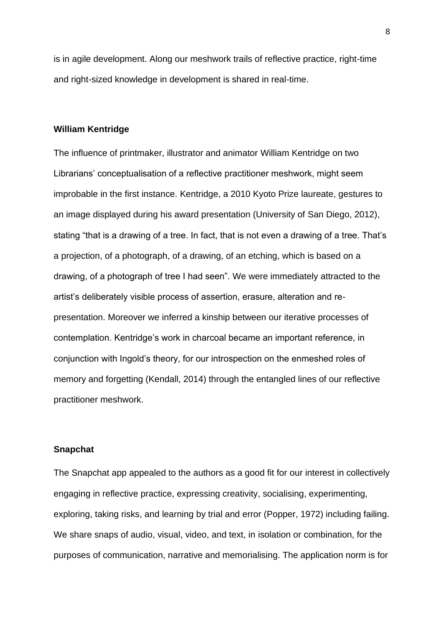is in agile development. Along our meshwork trails of reflective practice, right-time and right-sized knowledge in development is shared in real-time.

## **William Kentridge**

The influence of printmaker, illustrator and animator William Kentridge on two Librarians' conceptualisation of a reflective practitioner meshwork, might seem improbable in the first instance. Kentridge, a 2010 Kyoto Prize laureate, gestures to an image displayed during his award presentation (University of San Diego, 2012), stating "that is a drawing of a tree. In fact, that is not even a drawing of a tree. That's a projection, of a photograph, of a drawing, of an etching, which is based on a drawing, of a photograph of tree I had seen". We were immediately attracted to the artist's deliberately visible process of assertion, erasure, alteration and representation. Moreover we inferred a kinship between our iterative processes of contemplation. Kentridge's work in charcoal became an important reference, in conjunction with Ingold's theory, for our introspection on the enmeshed roles of memory and forgetting (Kendall, 2014) through the entangled lines of our reflective practitioner meshwork.

#### **Snapchat**

The Snapchat app appealed to the authors as a good fit for our interest in collectively engaging in reflective practice, expressing creativity, socialising, experimenting, exploring, taking risks, and learning by trial and error (Popper, 1972) including failing. We share snaps of audio, visual, video, and text, in isolation or combination, for the purposes of communication, narrative and memorialising. The application norm is for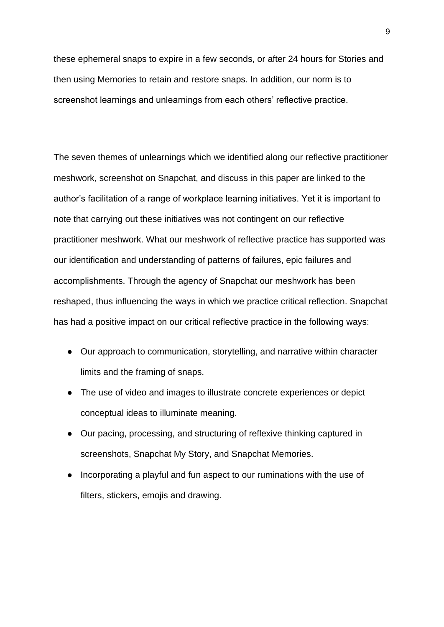these ephemeral snaps to expire in a few seconds, or after 24 hours for Stories and then using Memories to retain and restore snaps. In addition, our norm is to screenshot learnings and unlearnings from each others' reflective practice.

The seven themes of unlearnings which we identified along our reflective practitioner meshwork, screenshot on Snapchat, and discuss in this paper are linked to the author's facilitation of a range of workplace learning initiatives. Yet it is important to note that carrying out these initiatives was not contingent on our reflective practitioner meshwork. What our meshwork of reflective practice has supported was our identification and understanding of patterns of failures, epic failures and accomplishments. Through the agency of Snapchat our meshwork has been reshaped, thus influencing the ways in which we practice critical reflection. Snapchat has had a positive impact on our critical reflective practice in the following ways:

- Our approach to communication, storytelling, and narrative within character limits and the framing of snaps.
- The use of video and images to illustrate concrete experiences or depict conceptual ideas to illuminate meaning.
- Our pacing, processing, and structuring of reflexive thinking captured in screenshots, Snapchat My Story, and Snapchat Memories.
- Incorporating a playful and fun aspect to our ruminations with the use of filters, stickers, emojis and drawing.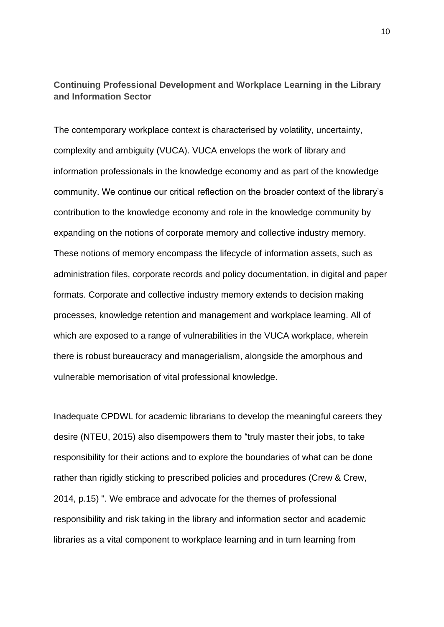**Continuing Professional Development and Workplace Learning in the Library and Information Sector**

The contemporary workplace context is characterised by volatility, uncertainty, complexity and ambiguity (VUCA). VUCA envelops the work of library and information professionals in the knowledge economy and as part of the knowledge community. We continue our critical reflection on the broader context of the library's contribution to the knowledge economy and role in the knowledge community by expanding on the notions of corporate memory and collective industry memory. These notions of memory encompass the lifecycle of information assets, such as administration files, corporate records and policy documentation, in digital and paper formats. Corporate and collective industry memory extends to decision making processes, knowledge retention and management and workplace learning. All of which are exposed to a range of vulnerabilities in the VUCA workplace, wherein there is robust bureaucracy and managerialism, alongside the amorphous and vulnerable memorisation of vital professional knowledge.

Inadequate CPDWL for academic librarians to develop the meaningful careers they desire (NTEU, 2015) also disempowers them to "truly master their jobs, to take responsibility for their actions and to explore the boundaries of what can be done rather than rigidly sticking to prescribed policies and procedures (Crew & Crew, 2014, p.15) ". We embrace and advocate for the themes of professional responsibility and risk taking in the library and information sector and academic libraries as a vital component to workplace learning and in turn learning from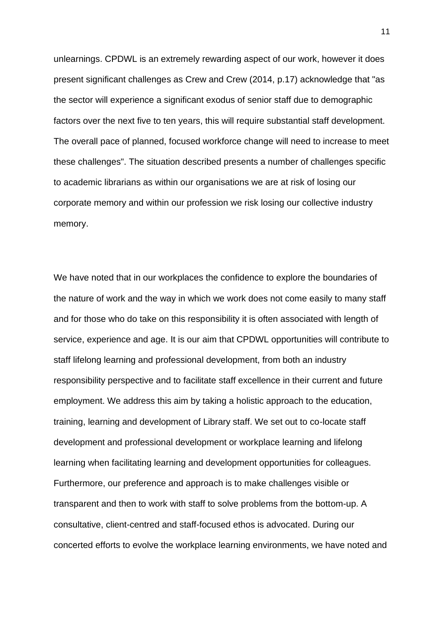unlearnings. CPDWL is an extremely rewarding aspect of our work, however it does present significant challenges as Crew and Crew (2014, p.17) acknowledge that "as the sector will experience a significant exodus of senior staff due to demographic factors over the next five to ten years, this will require substantial staff development. The overall pace of planned, focused workforce change will need to increase to meet these challenges". The situation described presents a number of challenges specific to academic librarians as within our organisations we are at risk of losing our corporate memory and within our profession we risk losing our collective industry memory.

We have noted that in our workplaces the confidence to explore the boundaries of the nature of work and the way in which we work does not come easily to many staff and for those who do take on this responsibility it is often associated with length of service, experience and age. It is our aim that CPDWL opportunities will contribute to staff lifelong learning and professional development, from both an industry responsibility perspective and to facilitate staff excellence in their current and future employment. We address this aim by taking a holistic approach to the education, training, learning and development of Library staff. We set out to co-locate staff development and professional development or workplace learning and lifelong learning when facilitating learning and development opportunities for colleagues. Furthermore, our preference and approach is to make challenges visible or transparent and then to work with staff to solve problems from the bottom-up. A consultative, client-centred and staff-focused ethos is advocated. During our concerted efforts to evolve the workplace learning environments, we have noted and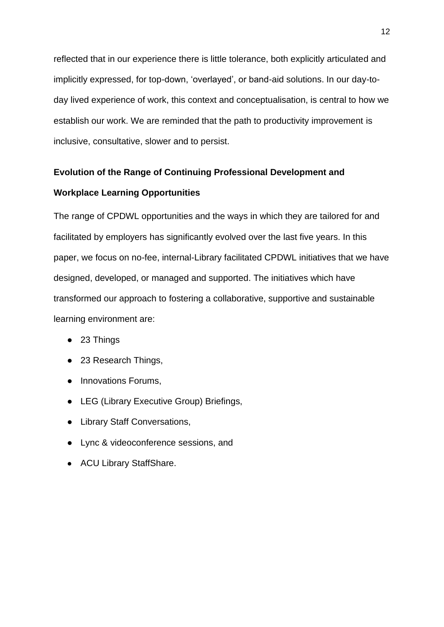reflected that in our experience there is little tolerance, both explicitly articulated and implicitly expressed, for top-down, 'overlayed', or band-aid solutions. In our day-today lived experience of work, this context and conceptualisation, is central to how we establish our work. We are reminded that the path to productivity improvement is inclusive, consultative, slower and to persist.

# **Evolution of the Range of Continuing Professional Development and Workplace Learning Opportunities**

The range of CPDWL opportunities and the ways in which they are tailored for and facilitated by employers has significantly evolved over the last five years. In this paper, we focus on no-fee, internal-Library facilitated CPDWL initiatives that we have designed, developed, or managed and supported. The initiatives which have transformed our approach to fostering a collaborative, supportive and sustainable learning environment are:

- 23 Things
- 23 Research Things,
- Innovations Forums,
- LEG (Library Executive Group) Briefings,
- Library Staff Conversations,
- Lync & videoconference sessions, and
- ACU Library StaffShare.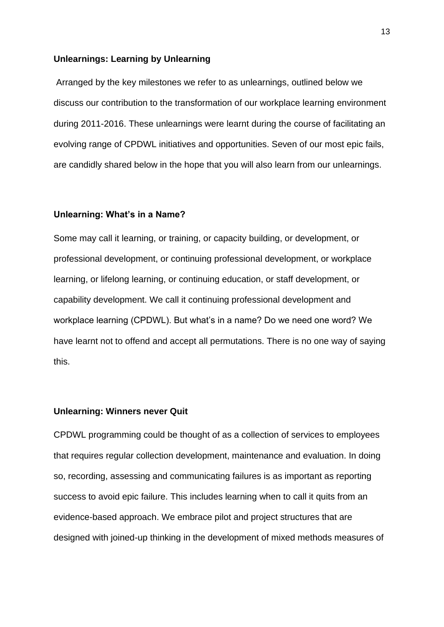#### **Unlearnings: Learning by Unlearning**

Arranged by the key milestones we refer to as unlearnings, outlined below we discuss our contribution to the transformation of our workplace learning environment during 2011-2016. These unlearnings were learnt during the course of facilitating an evolving range of CPDWL initiatives and opportunities. Seven of our most epic fails, are candidly shared below in the hope that you will also learn from our unlearnings.

#### **Unlearning: What's in a Name?**

Some may call it learning, or training, or capacity building, or development, or professional development, or continuing professional development, or workplace learning, or lifelong learning, or continuing education, or staff development, or capability development. We call it continuing professional development and workplace learning (CPDWL). But what's in a name? Do we need one word? We have learnt not to offend and accept all permutations. There is no one way of saying this.

## **Unlearning: Winners never Quit**

CPDWL programming could be thought of as a collection of services to employees that requires regular collection development, maintenance and evaluation. In doing so, recording, assessing and communicating failures is as important as reporting success to avoid epic failure. This includes learning when to call it quits from an evidence-based approach. We embrace pilot and project structures that are designed with joined-up thinking in the development of mixed methods measures of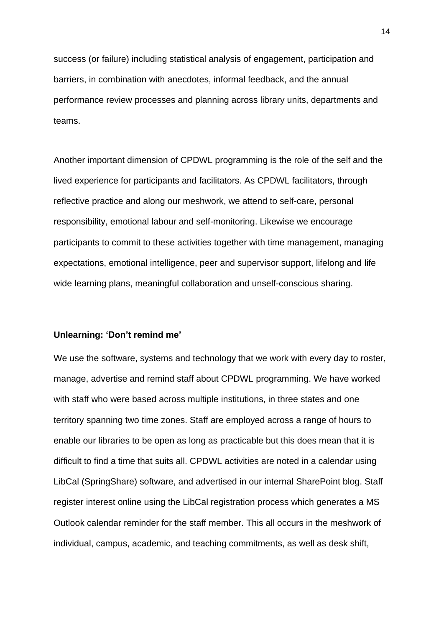success (or failure) including statistical analysis of engagement, participation and barriers, in combination with anecdotes, informal feedback, and the annual performance review processes and planning across library units, departments and teams.

Another important dimension of CPDWL programming is the role of the self and the lived experience for participants and facilitators. As CPDWL facilitators, through reflective practice and along our meshwork, we attend to self-care, personal responsibility, emotional labour and self-monitoring. Likewise we encourage participants to commit to these activities together with time management, managing expectations, emotional intelligence, peer and supervisor support, lifelong and life wide learning plans, meaningful collaboration and unself-conscious sharing.

#### **Unlearning: 'Don't remind me'**

We use the software, systems and technology that we work with every day to roster, manage, advertise and remind staff about CPDWL programming. We have worked with staff who were based across multiple institutions, in three states and one territory spanning two time zones. Staff are employed across a range of hours to enable our libraries to be open as long as practicable but this does mean that it is difficult to find a time that suits all. CPDWL activities are noted in a calendar using LibCal (SpringShare) software, and advertised in our internal SharePoint blog. Staff register interest online using the LibCal registration process which generates a MS Outlook calendar reminder for the staff member. This all occurs in the meshwork of individual, campus, academic, and teaching commitments, as well as desk shift,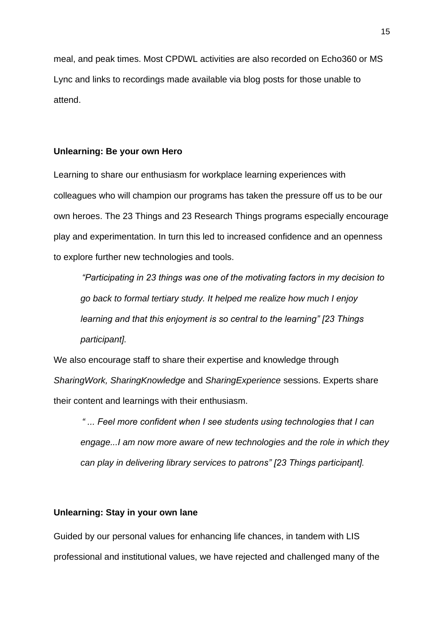meal, and peak times. Most CPDWL activities are also recorded on Echo360 or MS Lync and links to recordings made available via blog posts for those unable to attend.

## **Unlearning: Be your own Hero**

Learning to share our enthusiasm for workplace learning experiences with colleagues who will champion our programs has taken the pressure off us to be our own heroes. The 23 Things and 23 Research Things programs especially encourage play and experimentation. In turn this led to increased confidence and an openness to explore further new technologies and tools.

*"Participating in 23 things was one of the motivating factors in my decision to go back to formal tertiary study. It helped me realize how much I enjoy learning and that this enjoyment is so central to the learning" [23 Things participant].*

We also encourage staff to share their expertise and knowledge through *SharingWork, SharingKnowledge* and *SharingExperience* sessions. Experts share their content and learnings with their enthusiasm.

*" ... Feel more confident when I see students using technologies that I can engage...I am now more aware of new technologies and the role in which they can play in delivering library services to patrons" [23 Things participant].*

## **Unlearning: Stay in your own lane**

Guided by our personal values for enhancing life chances, in tandem with LIS professional and institutional values, we have rejected and challenged many of the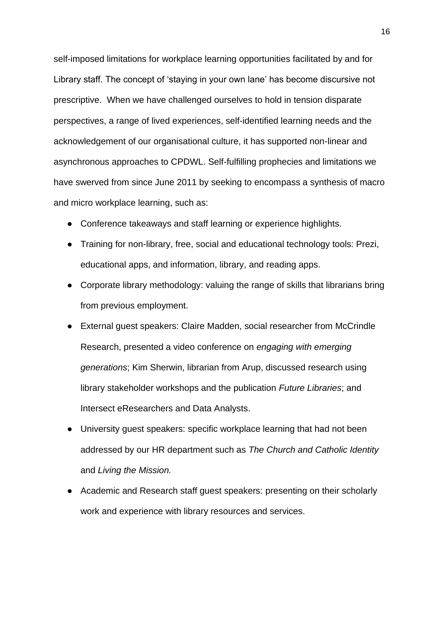self-imposed limitations for workplace learning opportunities facilitated by and for Library staff. The concept of 'staying in your own lane' has become discursive not prescriptive. When we have challenged ourselves to hold in tension disparate perspectives, a range of lived experiences, self-identified learning needs and the acknowledgement of our organisational culture, it has supported non-linear and asynchronous approaches to CPDWL. Self-fulfilling prophecies and limitations we have swerved from since June 2011 by seeking to encompass a synthesis of macro and micro workplace learning, such as:

- Conference takeaways and staff learning or experience highlights.
- Training for non-library, free, social and educational technology tools: Prezi, educational apps, and information, library, and reading apps.
- Corporate library methodology: valuing the range of skills that librarians bring from previous employment.
- External guest speakers: Claire Madden, social researcher from McCrindle Research, presented a video conference on *engaging with emerging generations*; Kim Sherwin, librarian from Arup, discussed research using library stakeholder workshops and the publication *Future Libraries*; and Intersect eResearchers and Data Analysts.
- University guest speakers: specific workplace learning that had not been addressed by our HR department such as *The Church and Catholic Identity* and *Living the Mission.*
- Academic and Research staff guest speakers: presenting on their scholarly work and experience with library resources and services.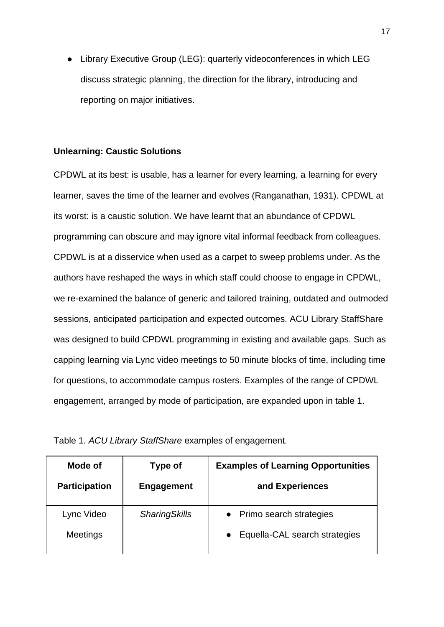● Library Executive Group (LEG): quarterly videoconferences in which LEG discuss strategic planning, the direction for the library, introducing and reporting on major initiatives.

## **Unlearning: Caustic Solutions**

CPDWL at its best: is usable, has a learner for every learning, a learning for every learner, saves the time of the learner and evolves (Ranganathan, 1931). CPDWL at its worst: is a caustic solution. We have learnt that an abundance of CPDWL programming can obscure and may ignore vital informal feedback from colleagues. CPDWL is at a disservice when used as a carpet to sweep problems under. As the authors have reshaped the ways in which staff could choose to engage in CPDWL, we re-examined the balance of generic and tailored training, outdated and outmoded sessions, anticipated participation and expected outcomes. ACU Library StaffShare was designed to build CPDWL programming in existing and available gaps. Such as capping learning via Lync video meetings to 50 minute blocks of time, including time for questions, to accommodate campus rosters. Examples of the range of CPDWL engagement, arranged by mode of participation, are expanded upon in table 1.

| Mode of<br><b>Participation</b> | Type of<br>Engagement | <b>Examples of Learning Opportunities</b><br>and Experiences |
|---------------------------------|-----------------------|--------------------------------------------------------------|
| Lync Video<br>Meetings          | <b>SharingSkills</b>  | • Primo search strategies<br>Equella-CAL search strategies   |
|                                 |                       |                                                              |

|  |  | Table 1. ACU Library StaffShare examples of engagement. |
|--|--|---------------------------------------------------------|
|  |  |                                                         |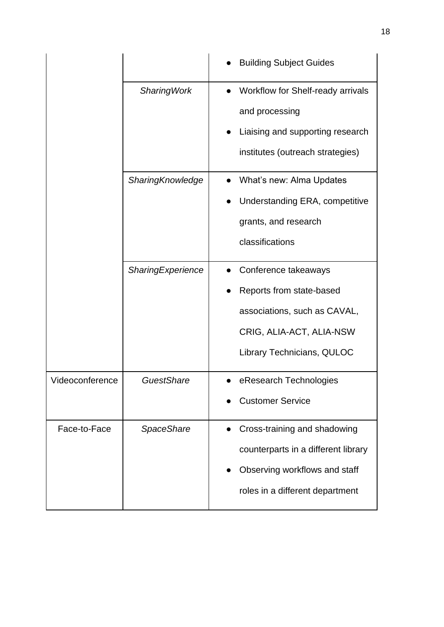|                 |                    | <b>Building Subject Guides</b>                                                                                                             |
|-----------------|--------------------|--------------------------------------------------------------------------------------------------------------------------------------------|
|                 | <b>SharingWork</b> | Workflow for Shelf-ready arrivals<br>and processing<br>Liaising and supporting research<br>institutes (outreach strategies)                |
|                 | SharingKnowledge   | What's new: Alma Updates<br>Understanding ERA, competitive<br>grants, and research<br>classifications                                      |
|                 | SharingExperience  | Conference takeaways<br>Reports from state-based<br>associations, such as CAVAL,<br>CRIG, ALIA-ACT, ALIA-NSW<br>Library Technicians, QULOC |
| Videoconference | GuestShare         | eResearch Technologies<br><b>Customer Service</b>                                                                                          |
| Face-to-Face    | <b>SpaceShare</b>  | Cross-training and shadowing<br>counterparts in a different library<br>Observing workflows and staff<br>roles in a different department    |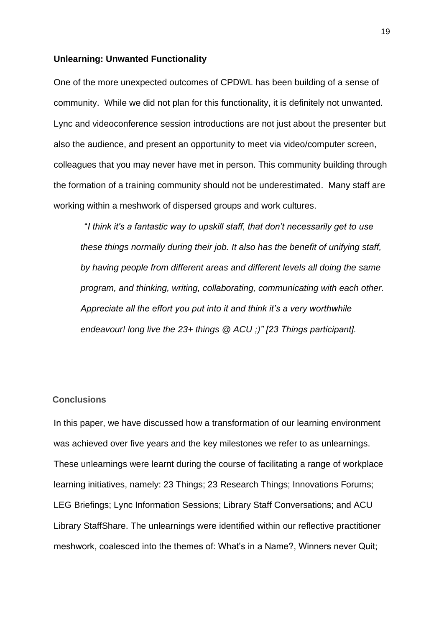#### **Unlearning: Unwanted Functionality**

One of the more unexpected outcomes of CPDWL has been building of a sense of community. While we did not plan for this functionality, it is definitely not unwanted. Lync and videoconference session introductions are not just about the presenter but also the audience, and present an opportunity to meet via video/computer screen, colleagues that you may never have met in person. This community building through the formation of a training community should not be underestimated. Many staff are working within a meshwork of dispersed groups and work cultures.

 "*I think it's a fantastic way to upskill staff, that don't necessarily get to use these things normally during their job. It also has the benefit of unifying staff, by having people from different areas and different levels all doing the same program, and thinking, writing, collaborating, communicating with each other. Appreciate all the effort you put into it and think it's a very worthwhile endeavour! long live the 23+ things @ ACU ;)" [23 Things participant].* 

#### **Conclusions**

In this paper, we have discussed how a transformation of our learning environment was achieved over five years and the key milestones we refer to as unlearnings. These unlearnings were learnt during the course of facilitating a range of workplace learning initiatives, namely: 23 Things; 23 Research Things; Innovations Forums; LEG Briefings; Lync Information Sessions; Library Staff Conversations; and ACU Library StaffShare. The unlearnings were identified within our reflective practitioner meshwork, coalesced into the themes of: What's in a Name?, Winners never Quit;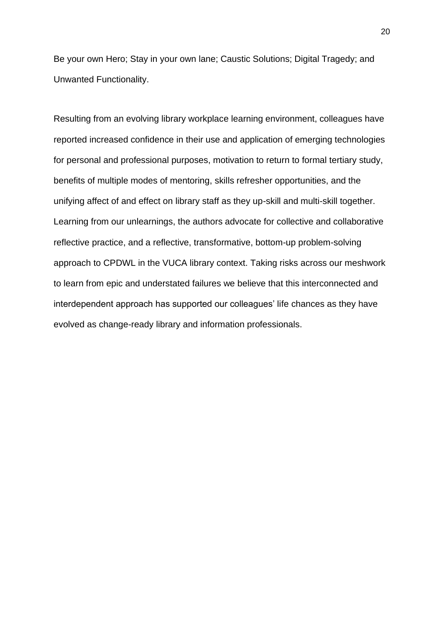Be your own Hero; Stay in your own lane; Caustic Solutions; Digital Tragedy; and Unwanted Functionality.

Resulting from an evolving library workplace learning environment, colleagues have reported increased confidence in their use and application of emerging technologies for personal and professional purposes, motivation to return to formal tertiary study, benefits of multiple modes of mentoring, skills refresher opportunities, and the unifying affect of and effect on library staff as they up-skill and multi-skill together. Learning from our unlearnings, the authors advocate for collective and collaborative reflective practice, and a reflective, transformative, bottom-up problem-solving approach to CPDWL in the VUCA library context. Taking risks across our meshwork to learn from epic and understated failures we believe that this interconnected and interdependent approach has supported our colleagues' life chances as they have evolved as change-ready library and information professionals.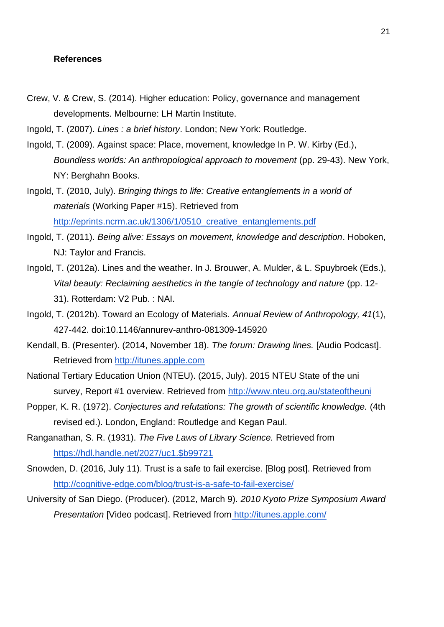#### **References**

- Crew, V. & Crew, S. (2014). Higher education: Policy, governance and management developments. Melbourne: LH Martin Institute.
- Ingold, T. (2007). *Lines : a brief history*. London; New York: Routledge.
- Ingold, T. (2009). Against space: Place, movement, knowledge In P. W. Kirby (Ed.), *Boundless worlds: An anthropological approach to movement* (pp. 29-43). New York, NY: Berghahn Books.
- Ingold, T. (2010, July). *Bringing things to life: Creative entanglements in a world of materials* (Working Paper #15). Retrieved fro[m](http://eprints.ncrm.ac.uk/1306/1/0510_creative_entanglements.pdf) http://eprints.ncrm.ac.uk/1306/1/0510 creative entanglements.pdf
- Ingold, T. (2011). *Being alive: Essays on movement, knowledge and description*. Hoboken, NJ: Taylor and Francis.
- Ingold, T. (2012a). Lines and the weather. In J. Brouwer, A. Mulder, & L. Spuybroek (Eds.), *Vital beauty: Reclaiming aesthetics in the tangle of technology and nature* (pp. 12- 31). Rotterdam: V2 Pub. : NAI.
- Ingold, T. (2012b). Toward an Ecology of Materials. *Annual Review of Anthropology, 41*(1), 427-442. doi:10.1146/annurev-anthro-081309-145920
- Kendall, B. (Presenter). (2014, November 18). *The forum: Drawing lines.* [Audio Podcast]. Retrieved fro[m](http://itunes.apple.com/) [http://itunes.apple.com](http://itunes.apple.com/)
- National Tertiary Education Union (NTEU). (2015, July). 2015 NTEU State of the uni survey, Report #1 overview. Retrieved fro[m](http://www.nteu.org.au/stateoftheuni) <http://www.nteu.org.au/stateoftheuni>
- Popper, K. R. (1972). *Conjectures and refutations: The growth of scientific knowledge.* (4th revised ed.). London, England: Routledge and Kegan Paul.
- Ranganathan, S. R. (1931). *The Five Laws of Library Science.* Retrieved from [https://hdl.handle.net/2027/uc1.\\$b99721](https://hdl.handle.net/2027/uc1.$b99721)
- Snowden, D. (2016, July 11). Trust is a safe to fail exercise. [Blog post]. Retrieved fro[m](http://cognitive-edge.com/blog/trust-is-a-safe-to-fail-exercise/) <http://cognitive-edge.com/blog/trust-is-a-safe-to-fail-exercise/>
- University of San Diego. (Producer). (2012, March 9). *2010 Kyoto Prize Symposium Award Presentation* [Video podcast]. Retrieved from <http://itunes.apple.com/>